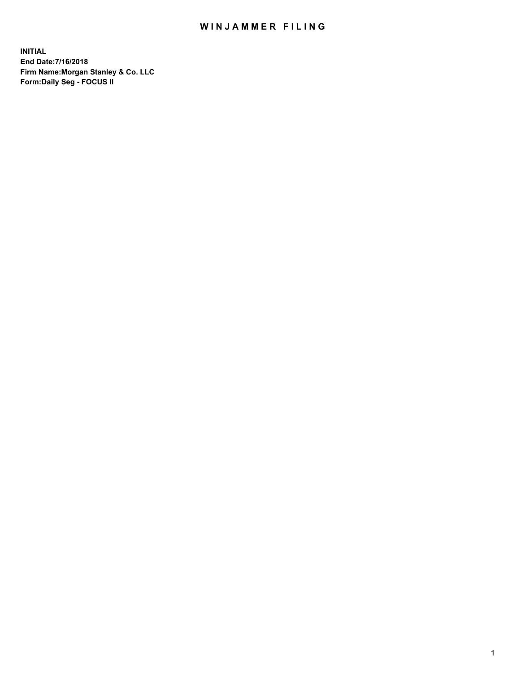## WIN JAMMER FILING

**INITIAL End Date:7/16/2018 Firm Name:Morgan Stanley & Co. LLC Form:Daily Seg - FOCUS II**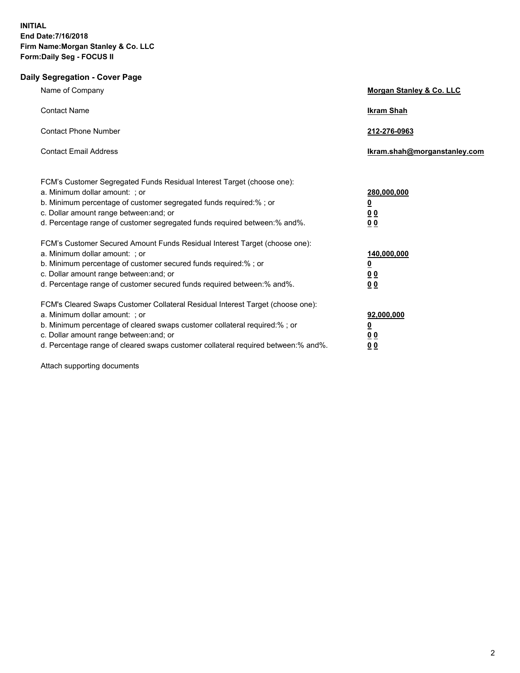## **Daily Segregation - Cover Page**

| Name of Company                                                                                                                                                                                                                                                                                                                | Morgan Stanley & Co. LLC                                             |
|--------------------------------------------------------------------------------------------------------------------------------------------------------------------------------------------------------------------------------------------------------------------------------------------------------------------------------|----------------------------------------------------------------------|
| <b>Contact Name</b>                                                                                                                                                                                                                                                                                                            | <b>Ikram Shah</b>                                                    |
| <b>Contact Phone Number</b>                                                                                                                                                                                                                                                                                                    | 212-276-0963                                                         |
| <b>Contact Email Address</b>                                                                                                                                                                                                                                                                                                   | Ikram.shah@morganstanley.com                                         |
| FCM's Customer Segregated Funds Residual Interest Target (choose one):<br>a. Minimum dollar amount: ; or<br>b. Minimum percentage of customer segregated funds required:% ; or<br>c. Dollar amount range between: and; or<br>d. Percentage range of customer segregated funds required between:% and%.                         | 280,000,000<br><u>0</u><br>0 <sub>0</sub><br>0 <sub>0</sub>          |
| FCM's Customer Secured Amount Funds Residual Interest Target (choose one):<br>a. Minimum dollar amount: ; or<br>b. Minimum percentage of customer secured funds required:%; or<br>c. Dollar amount range between: and; or<br>d. Percentage range of customer secured funds required between: % and %.                          | 140,000,000<br><u>0</u><br>0 <sub>0</sub><br>0 <sub>0</sub>          |
| FCM's Cleared Swaps Customer Collateral Residual Interest Target (choose one):<br>a. Minimum dollar amount: ; or<br>b. Minimum percentage of cleared swaps customer collateral required:% ; or<br>c. Dollar amount range between: and; or<br>d. Percentage range of cleared swaps customer collateral required between:% and%. | 92,000,000<br>$\overline{\mathbf{0}}$<br><u>00</u><br>0 <sub>0</sub> |

Attach supporting documents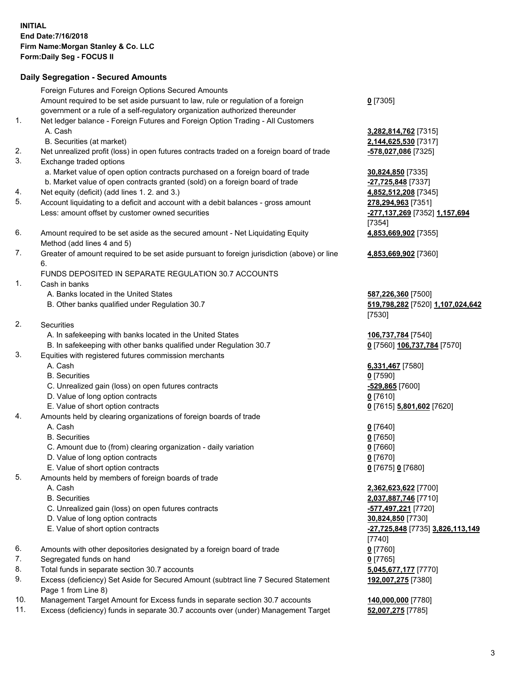## **Daily Segregation - Secured Amounts**

|     | Foreign Futures and Foreign Options Secured Amounts                                         |                                  |
|-----|---------------------------------------------------------------------------------------------|----------------------------------|
|     | Amount required to be set aside pursuant to law, rule or regulation of a foreign            | $0$ [7305]                       |
|     | government or a rule of a self-regulatory organization authorized thereunder                |                                  |
| 1.  | Net ledger balance - Foreign Futures and Foreign Option Trading - All Customers             |                                  |
|     | A. Cash                                                                                     | 3,282,814,762 [7315]             |
|     | B. Securities (at market)                                                                   | 2,144,625,530 [7317]             |
| 2.  | Net unrealized profit (loss) in open futures contracts traded on a foreign board of trade   | -578,027,086 [7325]              |
| 3.  | Exchange traded options                                                                     |                                  |
|     | a. Market value of open option contracts purchased on a foreign board of trade              | 30,824,850 [7335]                |
|     | b. Market value of open contracts granted (sold) on a foreign board of trade                | -27,725,848 [7337]               |
| 4.  | Net equity (deficit) (add lines 1.2. and 3.)                                                | 4,852,512,208 [7345]             |
| 5.  | Account liquidating to a deficit and account with a debit balances - gross amount           | 278,294,963 [7351]               |
|     | Less: amount offset by customer owned securities                                            | -277,137,269 [7352] 1,157,694    |
|     |                                                                                             | $[7354]$                         |
| 6.  | Amount required to be set aside as the secured amount - Net Liquidating Equity              | 4,853,669,902 [7355]             |
|     | Method (add lines 4 and 5)                                                                  |                                  |
| 7.  | Greater of amount required to be set aside pursuant to foreign jurisdiction (above) or line | 4,853,669,902 [7360]             |
|     | 6.                                                                                          |                                  |
|     | FUNDS DEPOSITED IN SEPARATE REGULATION 30.7 ACCOUNTS                                        |                                  |
| 1.  | Cash in banks                                                                               |                                  |
|     | A. Banks located in the United States                                                       | 587,226,360 [7500]               |
|     | B. Other banks qualified under Regulation 30.7                                              | 519,798,282 [7520] 1,107,024,642 |
|     |                                                                                             | [7530]                           |
| 2.  | Securities                                                                                  |                                  |
|     | A. In safekeeping with banks located in the United States                                   | 106,737,784 [7540]               |
|     | B. In safekeeping with other banks qualified under Regulation 30.7                          | 0 [7560] 106,737,784 [7570]      |
| 3.  | Equities with registered futures commission merchants                                       |                                  |
|     | A. Cash                                                                                     | 6,331,467 [7580]                 |
|     | <b>B.</b> Securities                                                                        | $0$ [7590]                       |
|     | C. Unrealized gain (loss) on open futures contracts                                         | -529,865 [7600]                  |
|     | D. Value of long option contracts                                                           | $0$ [7610]                       |
|     | E. Value of short option contracts                                                          | 0 [7615] 5,801,602 [7620]        |
| 4.  | Amounts held by clearing organizations of foreign boards of trade                           |                                  |
|     | A. Cash                                                                                     | $0$ [7640]                       |
|     | <b>B.</b> Securities                                                                        | $0$ [7650]                       |
|     | C. Amount due to (from) clearing organization - daily variation                             | $0$ [7660]                       |
|     | D. Value of long option contracts                                                           | $0$ [7670]                       |
|     | E. Value of short option contracts                                                          | 0 [7675] 0 [7680]                |
| 5.  | Amounts held by members of foreign boards of trade                                          |                                  |
|     | A. Cash                                                                                     | 2,362,623,622 [7700]             |
|     | <b>B.</b> Securities                                                                        | 2,037,887,746 [7710]             |
|     | C. Unrealized gain (loss) on open futures contracts                                         | -577,497,221 [7720]              |
|     | D. Value of long option contracts                                                           | 30,824,850 [7730]                |
|     | E. Value of short option contracts                                                          | -27,725,848 [7735] 3,826,113,149 |
|     |                                                                                             | [7740]                           |
| 6.  | Amounts with other depositories designated by a foreign board of trade                      | $0$ [7760]                       |
| 7.  | Segregated funds on hand                                                                    | $0$ [7765]                       |
| 8.  | Total funds in separate section 30.7 accounts                                               | 5,045,677,177 [7770]             |
| 9.  | Excess (deficiency) Set Aside for Secured Amount (subtract line 7 Secured Statement         | 192,007,275 [7380]               |
|     | Page 1 from Line 8)                                                                         |                                  |
| 10. | Management Target Amount for Excess funds in separate section 30.7 accounts                 | 140,000,000 [7780]               |
| 11. | Excess (deficiency) funds in separate 30.7 accounts over (under) Management Target          | 52,007,275 [7785]                |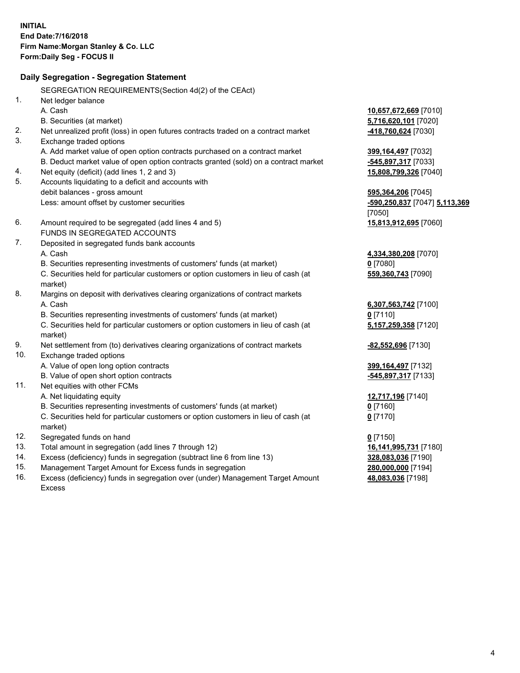|     | Daily Segregation - Segregation Statement                                           |                                     |
|-----|-------------------------------------------------------------------------------------|-------------------------------------|
|     | SEGREGATION REQUIREMENTS(Section 4d(2) of the CEAct)                                |                                     |
| 1.  | Net ledger balance                                                                  |                                     |
|     | A. Cash                                                                             | 10,657,672,669 [7010]               |
|     | B. Securities (at market)                                                           | 5,716,620,101 [7020]                |
| 2.  | Net unrealized profit (loss) in open futures contracts traded on a contract market  | -418,760,624 [7030]                 |
| 3.  | Exchange traded options                                                             |                                     |
|     | A. Add market value of open option contracts purchased on a contract market         | 399,164,497 [7032]                  |
|     | B. Deduct market value of open option contracts granted (sold) on a contract market | -545,897,317 [7033]                 |
| 4.  | Net equity (deficit) (add lines 1, 2 and 3)                                         | 15,808,799,326 [7040]               |
| 5.  | Accounts liquidating to a deficit and accounts with                                 |                                     |
|     | debit balances - gross amount                                                       | 595,364,206 [7045]                  |
|     | Less: amount offset by customer securities                                          | -590,250,837 [7047] 5,113,369       |
|     |                                                                                     | [7050]                              |
| 6.  | Amount required to be segregated (add lines 4 and 5)                                | 15,813,912,695 [7060]               |
|     | FUNDS IN SEGREGATED ACCOUNTS                                                        |                                     |
| 7.  | Deposited in segregated funds bank accounts                                         |                                     |
|     | A. Cash                                                                             | 4,334,380,208 [7070]                |
|     | B. Securities representing investments of customers' funds (at market)              | $0$ [7080]                          |
|     | C. Securities held for particular customers or option customers in lieu of cash (at | 559,360,743 [7090]                  |
|     | market)                                                                             |                                     |
| 8.  | Margins on deposit with derivatives clearing organizations of contract markets      |                                     |
|     | A. Cash                                                                             | 6,307,563,742 [7100]                |
|     | B. Securities representing investments of customers' funds (at market)              | $0$ [7110]                          |
|     | C. Securities held for particular customers or option customers in lieu of cash (at | 5,157,259,358 [7120]                |
|     | market)                                                                             |                                     |
| 9.  | Net settlement from (to) derivatives clearing organizations of contract markets     | -82,552,696 [7130]                  |
| 10. | Exchange traded options                                                             |                                     |
|     | A. Value of open long option contracts                                              | 399,164,497 [7132]                  |
|     | B. Value of open short option contracts                                             | -545,897,317 [7133]                 |
| 11. | Net equities with other FCMs                                                        |                                     |
|     | A. Net liquidating equity                                                           | 12,717,196 [7140]                   |
|     | B. Securities representing investments of customers' funds (at market)              | $0$ [7160]                          |
|     | C. Securities held for particular customers or option customers in lieu of cash (at | $0$ [7170]                          |
| 12. | market)                                                                             |                                     |
| 13. | Segregated funds on hand<br>Total amount in segregation (add lines 7 through 12)    | $0$ [7150]<br>16,141,995,731 [7180] |
| 14. | Excess (deficiency) funds in segregation (subtract line 6 from line 13)             | 328,083,036 [7190]                  |
| 15. | Management Target Amount for Excess funds in segregation                            | 280,000,000 [7194]                  |
| 16. | Excess (deficiency) funds in segregation over (under) Management Target Amount      | 48,083,036 [7198]                   |
|     |                                                                                     |                                     |

16. Excess (deficiency) funds in segregation over (under) Management Target Amount Excess